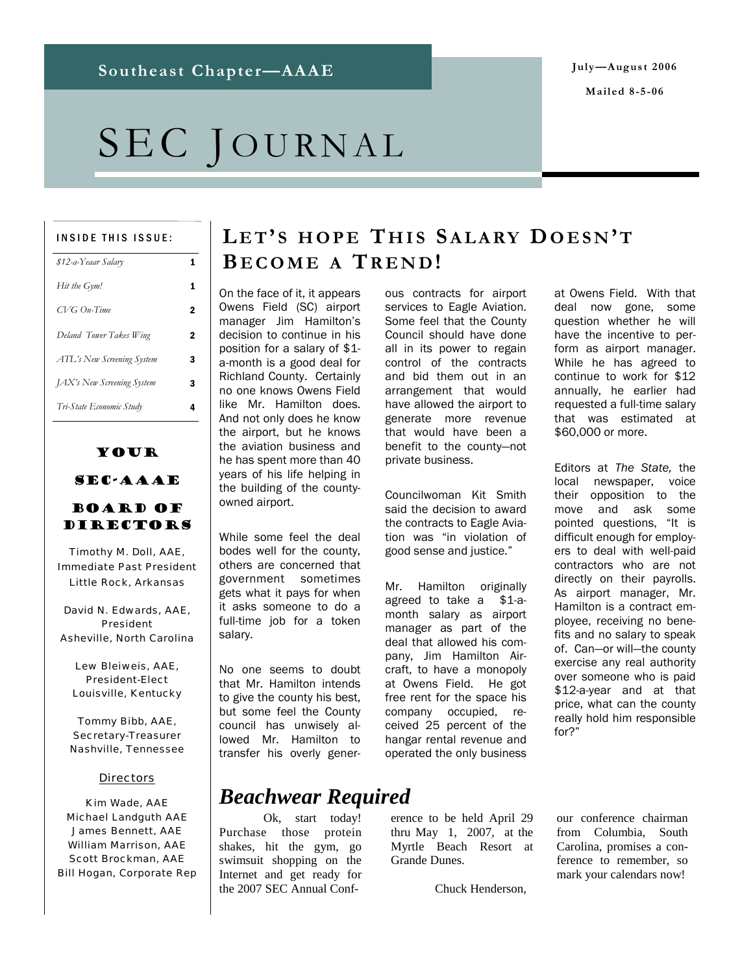**Mailed 8-5-06** 

# SEC JOURNAL

#### INSIDE THIS ISSUE:

| \$12-a-Yeaar Salary               | 1 |
|-----------------------------------|---|
| Hit the Gym!                      | 1 |
| $CVG$ On-Time                     | 2 |
| Deland Tower Takes Wing           | 2 |
| ATL's New Screening System        | 3 |
| <b>JAX's New Screening System</b> | 3 |
| Tri-State Economic Study          | 4 |

#### Your SEC-AAAE

#### Board of Directors

Timothy M. Doll, AAE, Immediate Past President Little Rock, Arkansas

David N. Edwards, AAE, President Asheville, North Carolina

Lew Bleiweis, AAE, President-Elect Louisville, Kentucky

Tommy Bibb, AAE, Secretary-Treasurer Nashville, Tennessee

#### **Directors**

Kim Wade, AAE Michael Landguth AAE James Bennett, AAE William Marrison, AAE Scott Brockman, AAE Bill Hogan, Corporate Rep

### **L E T' S HOPE T HIS SALARY DOESN 'T B ECOME A TREND !**

On the face of it, it appears Owens Field (SC) airport manager Jim Hamilton's decision to continue in his position for a salary of \$1 a-month is a good deal for Richland County. Certainly no one knows Owens Field like Mr. Hamilton does. And not only does he know the airport, but he knows the aviation business and he has spent more than 40 years of his life helping in the building of the countyowned airport.

While some feel the deal bodes well for the county, others are concerned that government sometimes gets what it pays for when it asks someone to do a full-time job for a token salary.

No one seems to doubt that Mr. Hamilton intends to give the county his best, but some feel the County council has unwisely allowed Mr. Hamilton to transfer his overly generous contracts for airport services to Eagle Aviation. Some feel that the County Council should have done all in its power to regain control of the contracts and bid them out in an arrangement that would have allowed the airport to generate more revenue that would have been a benefit to the county—not private business.

Councilwoman Kit Smith said the decision to award the contracts to Eagle Aviation was "in violation of good sense and justice."

Mr. Hamilton originally agreed to take a \$1-amonth salary as airport manager as part of the deal that allowed his company, Jim Hamilton Aircraft, to have a monopoly at Owens Field. He got free rent for the space his company occupied, received 25 percent of the hangar rental revenue and operated the only business

at Owens Field. With that deal now gone, some question whether he will have the incentive to perform as airport manager. While he has agreed to continue to work for \$12 annually, he earlier had requested a full-time salary that was estimated at \$60,000 or more.

Editors at *The State,* the local newspaper, voice their opposition to the move and ask some pointed questions, "It is difficult enough for employers to deal with well-paid contractors who are not directly on their payrolls. As airport manager, Mr. Hamilton is a contract employee, receiving no benefits and no salary to speak of. Can—or will—the county exercise any real authority over someone who is paid \$12-a-year and at that price, what can the county really hold him responsible for?"

# *Beachwear Required*

 Ok, start today! Purchase those protein shakes, hit the gym, go swimsuit shopping on the Internet and get ready for the 2007 SEC Annual Conference to be held April 29 thru May 1, 2007, at the Myrtle Beach Resort at Grande Dunes.

Chuck Henderson,

our conference chairman from Columbia, South Carolina, promises a conference to remember, so mark your calendars now!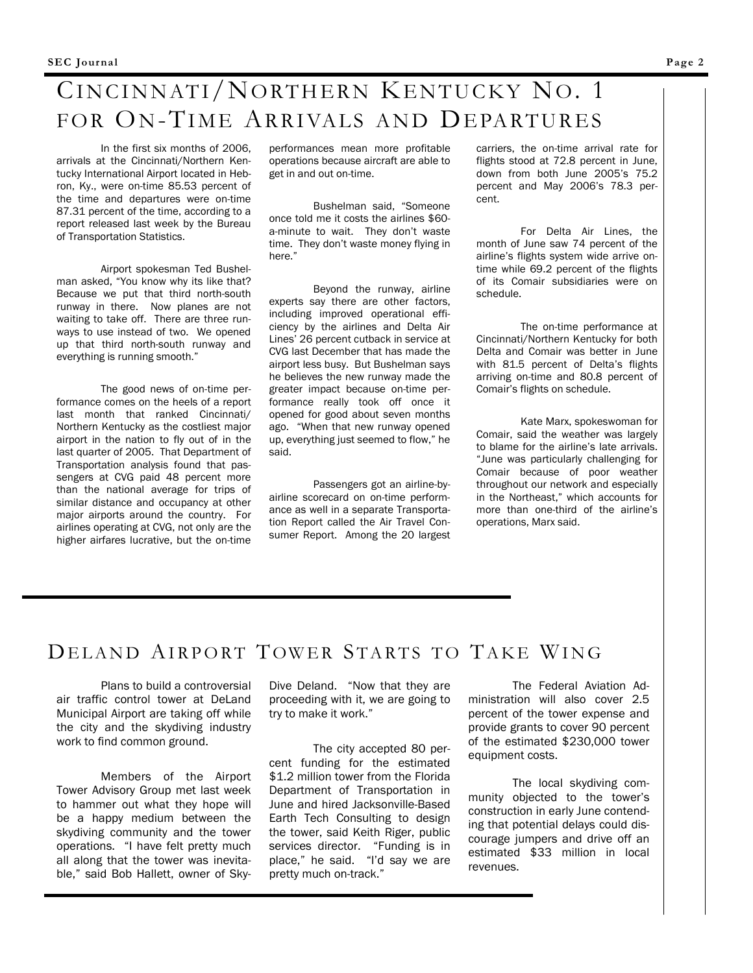# CINCINNATI/NORTHERN KENTUCKY NO. 1 FOR ON-TIME ARRIVALS AND DEPARTURES

 In the first six months of 2006, arrivals at the Cincinnati/Northern Kentucky International Airport located in Hebron, Ky., were on-time 85.53 percent of the time and departures were on-time 87.31 percent of the time, according to a report released last week by the Bureau of Transportation Statistics.

 Airport spokesman Ted Bushelman asked, "You know why its like that? Because we put that third north-south runway in there. Now planes are not waiting to take off. There are three runways to use instead of two. We opened up that third north-south runway and everything is running smooth."

 The good news of on-time performance comes on the heels of a report last month that ranked Cincinnati/ Northern Kentucky as the costliest major airport in the nation to fly out of in the last quarter of 2005. That Department of Transportation analysis found that passengers at CVG paid 48 percent more than the national average for trips of similar distance and occupancy at other major airports around the country. For airlines operating at CVG, not only are the higher airfares lucrative, but the on-time

performances mean more profitable operations because aircraft are able to get in and out on-time.

 Bushelman said, "Someone once told me it costs the airlines \$60 a-minute to wait. They don't waste time. They don't waste money flying in here."

 Beyond the runway, airline experts say there are other factors, including improved operational efficiency by the airlines and Delta Air Lines' 26 percent cutback in service at CVG last December that has made the airport less busy. But Bushelman says he believes the new runway made the greater impact because on-time performance really took off once it opened for good about seven months ago. "When that new runway opened up, everything just seemed to flow," he said.

 Passengers got an airline-byairline scorecard on on-time performance as well in a separate Transportation Report called the Air Travel Consumer Report. Among the 20 largest carriers, the on-time arrival rate for flights stood at 72.8 percent in June, down from both June 2005's 75.2 percent and May 2006's 78.3 percent.

 For Delta Air Lines, the month of June saw 74 percent of the airline's flights system wide arrive ontime while 69.2 percent of the flights of its Comair subsidiaries were on schedule.

 The on-time performance at Cincinnati/Northern Kentucky for both Delta and Comair was better in June with 81.5 percent of Delta's flights arriving on-time and 80.8 percent of Comair's flights on schedule.

 Kate Marx, spokeswoman for Comair, said the weather was largely to blame for the airline's late arrivals. "June was particularly challenging for Comair because of poor weather throughout our network and especially in the Northeast," which accounts for more than one-third of the airline's operations, Marx said.

#### DELAND AIRPORT TOWER STARTS TO TAKE WING

 Plans to build a controversial air traffic control tower at DeLand Municipal Airport are taking off while the city and the skydiving industry work to find common ground.

 Members of the Airport Tower Advisory Group met last week to hammer out what they hope will be a happy medium between the skydiving community and the tower operations. "I have felt pretty much all along that the tower was inevitable," said Bob Hallett, owner of SkyDive Deland. "Now that they are proceeding with it, we are going to try to make it work."

 The city accepted 80 percent funding for the estimated \$1.2 million tower from the Florida Department of Transportation in June and hired Jacksonville-Based Earth Tech Consulting to design the tower, said Keith Riger, public services director. "Funding is in place," he said. "I'd say we are pretty much on-track."

The Federal Aviation Administration will also cover 2.5 percent of the tower expense and provide grants to cover 90 percent of the estimated \$230,000 tower equipment costs.

 The local skydiving community objected to the tower's construction in early June contending that potential delays could discourage jumpers and drive off an estimated \$33 million in local revenues.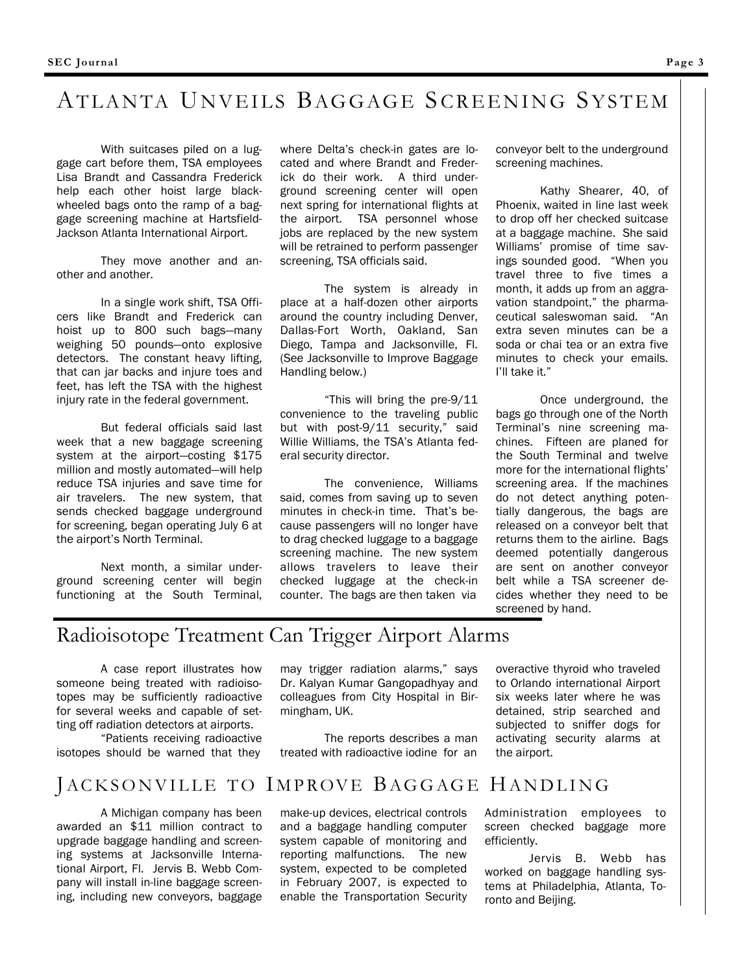### ATLANTA UNVEILS BAGGAGE SCREENING SYSTEM

 With suitcases piled on a luggage cart before them, TSA employees Lisa Brandt and Cassandra Frederick help each other hoist large blackwheeled bags onto the ramp of a baggage screening machine at Hartsfield-Jackson Atlanta International Airport.

 They move another and another and another.

 In a single work shift, TSA Officers like Brandt and Frederick can hoist up to 800 such bags—many weighing 50 pounds—onto explosive detectors. The constant heavy lifting, that can jar backs and injure toes and feet, has left the TSA with the highest injury rate in the federal government.

 But federal officials said last week that a new baggage screening system at the airport—costing \$175 million and mostly automated—will help reduce TSA injuries and save time for air travelers. The new system, that sends checked baggage underground for screening, began operating July 6 at the airport's North Terminal.

 Next month, a similar underground screening center will begin functioning at the South Terminal, where Delta's check-in gates are located and where Brandt and Frederick do their work. A third underground screening center will open next spring for international flights at the airport. TSA personnel whose jobs are replaced by the new system will be retrained to perform passenger screening, TSA officials said.

 The system is already in place at a half-dozen other airports around the country including Denver, Dallas-Fort Worth, Oakland, San Diego, Tampa and Jacksonville, Fl. (See Jacksonville to Improve Baggage Handling below.)

 "This will bring the pre-9/11 convenience to the traveling public but with post-9/11 security," said Willie Williams, the TSA's Atlanta federal security director.

 The convenience, Williams said, comes from saving up to seven minutes in check-in time. That's because passengers will no longer have to drag checked luggage to a baggage screening machine. The new system allows travelers to leave their checked luggage at the check-in counter. The bags are then taken via

conveyor belt to the underground screening machines.

 Kathy Shearer, 40, of Phoenix, waited in line last week to drop off her checked suitcase at a baggage machine. She said Williams' promise of time savings sounded good. "When you travel three to five times a month, it adds up from an aggravation standpoint," the pharmaceutical saleswoman said. "An extra seven minutes can be a soda or chai tea or an extra five minutes to check your emails. I'll take it."

 Once underground, the bags go through one of the North Terminal's nine screening machines. Fifteen are planed for the South Terminal and twelve more for the international flights' screening area. If the machines do not detect anything potentially dangerous, the bags are released on a conveyor belt that returns them to the airline. Bags deemed potentially dangerous are sent on another conveyor belt while a TSA screener decides whether they need to be screened by hand.

### Radioisotope Treatment Can Trigger Airport Alarms

 A case report illustrates how someone being treated with radioisotopes may be sufficiently radioactive for several weeks and capable of setting off radiation detectors at airports.

 "Patients receiving radioactive isotopes should be warned that they

may trigger radiation alarms," says Dr. Kalyan Kumar Gangopadhyay and colleagues from City Hospital in Birmingham, UK.

 The reports describes a man treated with radioactive iodine for an

overactive thyroid who traveled to Orlando international Airport six weeks later where he was detained, strip searched and subjected to sniffer dogs for activating security alarms at the airport.

### JACKSONVILLE TO IMPROVE BAGGAGE HANDLING

 A Michigan company has been awarded an \$11 million contract to upgrade baggage handling and screening systems at Jacksonville International Airport, Fl. Jervis B. Webb Company will install in-line baggage screening, including new conveyors, baggage

make-up devices, electrical controls and a baggage handling computer system capable of monitoring and reporting malfunctions. The new system, expected to be completed in February 2007, is expected to enable the Transportation Security Administration employees to screen checked baggage more efficiently.

 Jervis B. Webb has worked on baggage handling systems at Philadelphia, Atlanta, Toronto and Beijing.